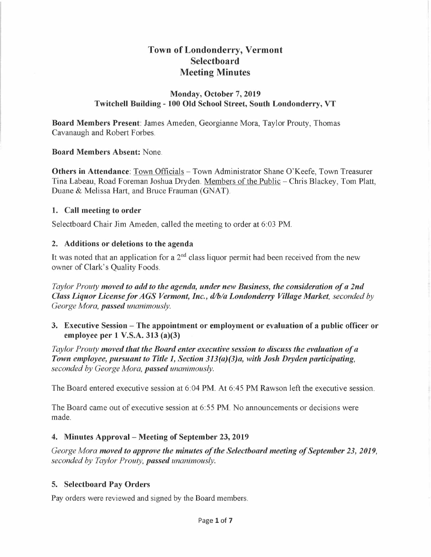# **Town of Londonderry, Vermont Selectboard Meeting Minutes**

# **Monday, October** 7, **2019 Twitchell Building - 100 Old School Street, South Londonderry, VT**

**Board Members Present:** James Ameden, Georgianne Mora, Taylor Prouty, Thomas Cavanaugh and Robert Forbes.

**Board Members Absent:** None.

**Others in Attendance:** Town Officials - Town Administrator Shane O'Keefe, Town Treasurer Tina Labeau, Road Foreman Joshua Dryden. Members of the Public - Chris Blackey, Tom Platt, Duane & Melissa Hart, and Bruce Frauman (GNAT).

### **1. Call meeting to order**

Selectboard Chair Jim Ameden, called the meeting to order at 6:03 PM.

### **2. Additions or deletions to the agenda**

It was noted that an application for a  $2<sup>nd</sup>$  class liquor permit had been received from the new owner of Clark's Quality Foods.

*Taylor Prouty moved to add to the agenda, under new Business, the consideration of a 2nd Class Liquor License for AGS Vermont, Inc.,*  $d/da$  *Londonderry Village Market, seconded by George Mora, passed unanimously.* 

**3. Executive Session - The appointment or employment or evaluation of a public officer or employee per 1 V.S.A. 313 (a)(3)** 

*Taylor Prouty moved that the Board enter executive session to discuss the evaluation of a Town employee, pursuant to Title 1, Section 313(a)(3)a, with Josh Dryden participating, seconded by George Mora, passed unanimously.* 

The Board entered executive session at 6:04 **PM.** At 6:45 **PM** Rawson left the executive session.

The Board came out of executive session at 6:55 **PM.** No announcements or decisions were made.

# **4. Minutes Approval - Meeting of September 23, 2019**

*George Mora moved to approve the minutes of the Selectboard meeting of September 23, 2019, seconded by Taylor Prouty, passed unanimously.* 

# **5. Selectboard Pay Orders**

Pay orders were reviewed and signed by the Board members.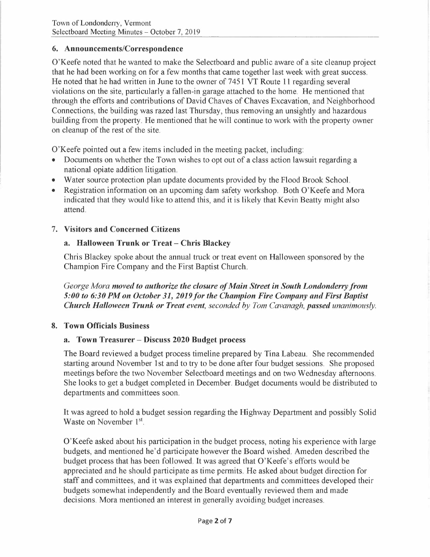# **6. Announcements/Correspondence**

O'Keefe noted that he wanted to make the Selectboard and public aware of a site cleanup project that he had been working on for a few months that came together last week with great success. He noted that he had written in June to the owner of 7451 VT Route 11 regarding several violations on the site, particularly a fallen-in garage attached to the home. He mentioned that through the efforts and contributions of David Chaves of Chaves Excavation, and Neighborhood Connections, the building was razed last Thursday, thus removing an unsightly and hazardous building from the property. He mentioned that he will continue to work with the property owner on cleanup of the rest of the site.

O'Keefe pointed out a few items included in the meeting packet, including:

- Documents on whether the Town wishes to opt out of a class action lawsuit regarding a national opiate addition litigation.
- Water source protection plan update documents provided by the Flood Brook School.
- Registration information on an upcoming dam safety workshop. Both O'Keefe and Mora indicated that they would like to attend this, and it is likely that Kevin Beatty might also attend.

# 7. **Visitors and Concerned Citizens**

# **a. Halloween Trunk or Treat - Chris Blackey**

Chris Blackey spoke about the annual truck or treat event on Halloween sponsored by the Champion Fire Company and the First Baptist Church.

*George Mora moved to authorize the closure of Main Street in South Londonderry from*  5:00 to 6:30 PM on October 31, 2019 for the Champion Fire Company and First Baptist *Church Halloween Trunk or Treat event, seconded by Tom Cavanagh, passed unanimously.* 

# **8. Town Officials Business**

# **a. Town Treasurer - Discuss 2020 Budget process**

The Board reviewed a budget process timeline prepared by Tina Labeau. She recommended starting around November 1st and to try to be done after four budget sessions. She proposed meetings before the two November Selectboard meetings and on two Wednesday afternoons. She looks to get a budget completed in December. Budget documents would be distributed to departments and committees soon.

It was agreed to hold a budget session regarding the Highway Department and possibly Solid Waste on November 1st.

O'Keefe asked about his participation in the budget process, noting his experience with large budgets, and mentioned he'd participate however the Board wished. Ameden described the budget process that has been followed. It was agreed that O'Keefe's efforts would be appreciated and he should participate as time permits. He asked about budget direction for staff and committees, and it was explained that departments and committees developed their budgets somewhat independently and the Board eventually reviewed them and made decisions. Mora mentioned an interest in generally avoiding budget increases.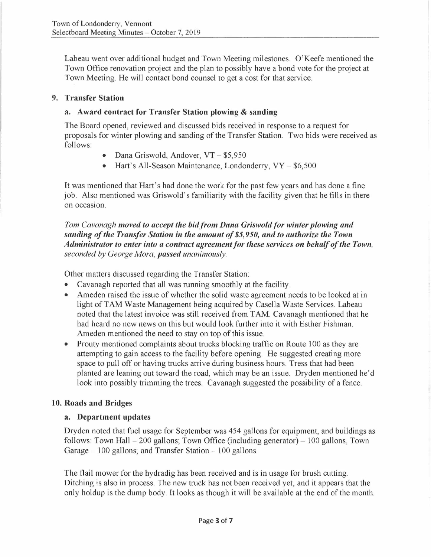Labeau went over additional budget and Town Meeting milestones. O'Keefe mentioned the Town Office renovation project and the plan to possibly have a bond vote for the project at Town Meeting. He will contact bond counsel to get a cost for that service.

#### **9. Transfer Station**

### **a. Award contract for Transfer Station plowing** & **sanding**

The Board opened, reviewed and discussed bids received in response to a request for proposals for winter plowing and sanding of the Transfer Station. Two bids were received as follows:

- Dana Griswold, Andover, VT \$5,950
- Hart's All-Season Maintenance, Londonderry, VY \$6,500

It was mentioned that Hart's had done the work for the past few years and has done a fine job. Also mentioned was Griswold's familiarity with the facility given that he fills in there on occasi on.

Tom Cavanagh moved to accept the bid from Dana Griswold for winter plowing and *sanding of the Transfer Station in the amount of \$5,950, and to authorize the Town Administrator to enter into a contract agreement for these services on behalf of the Town, seconded by George Mora, passed unanimously.* 

Other matters discussed regarding the Transfer Station:

- Cavanagh reported that all was running smoothly at the facility.
- Ameden raised the issue of whether the solid waste agreement needs to be looked at in light of TAM Waste Management being acquired by Casella Waste Services. Labeau noted that the latest invoice was still received from TAM. Cavanagh mentioned that he had heard no new news on this but would look further into it with Esther Fishman. Ameden mentioned the need to stay on top of this issue.
- Prouty mentioned complaints about trucks blocking traffic on Route 100 as they are attempting to gain access to the facility before opening. He suggested creating more space to pull off or having trucks arrive during business hours. Tress that had been planted are leaning out toward the road, which may be an issue. Dryden mentioned he'd look into possibly trimming the trees. Cavanagh suggested the possibility of a fence.

# **10. Roads and Bridges**

# **a. Department updates**

Dryden noted that fuel usage for September was 454 gallons for equipment, and buildings as follows: Town Hall  $-200$  gallons; Town Office (including generator)  $-100$  gallons, Town Garage – 100 gallons; and Transfer Station – 100 gallons.

The flail mower for the hydradig has been received and is in usage for brush cutting. Ditching is also in process. The new truck has not been received yet, and it appears that the only holdup is the dump body. It looks as though it will be available at the end of the month.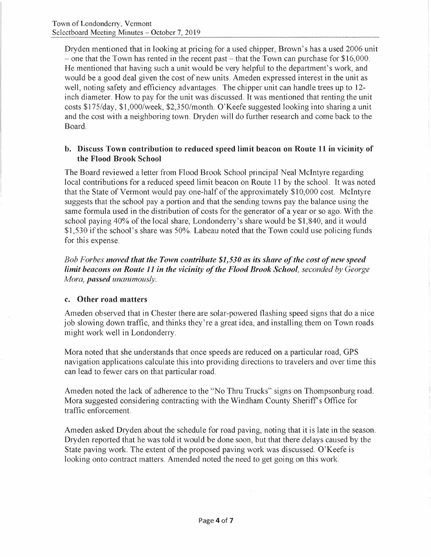Dryden mentioned that in looking at pricing for a used chipper, Brown's has a used 2006 unit  $-$  one that the Town has rented in the recent past  $-$  that the Town can purchase for \$16,000. He mentioned that having such a unit would be very helpful to the department's work, and would be a good deal given the cost of new units. Ameden expressed interest in the unit as well, noting safety and efficiency advantages. The chipper unit can handle trees up to 12inch diameter. How to pay for the unit was discussed. It was mentioned that renting the unit costs \$175/day, \$1,000/week, \$2,350/month. O'Keefe suggested looking into sharing a unit and the cost with a neighboring town. Dryden will do further research and come back to the Board.

# **b. Discuss Town contribution to reduced speed limit beacon on Route 11 in vicinity of the Flood Brook School**

The Board reviewed a letter from Flood Brook School principal Neal McIntyre regarding local contributions for a reduced speed limit beacon on Route 11 by the school. It was noted that the State of Vermont would pay one-half of the approximately \$10,000 cost. McIntyre suggests that the school pay a portion and that the sending towns pay the balance using the same formula used in the distribution of costs for the generator of a year or so ago. With the school paying 40% of the local share, Londonderry's share would be \$1,840, and it would \$1,530 if the school's share was 50%. Labeau noted that the Town could use policing funds for this expense.

*Bob Forbes moved that the Town contribute \$1,530 as its share of the cost of new speed limit beacons on Route 11 in the vicinity of the Flood Brook School, seconded by George Mora, passed unanimously.* 

# **c. Other road matters**

Ameden observed that in Chester there are solar-powered flashing speed signs that do a nice job slowing down traffic, and thinks they're a great idea, and installing them on Town roads might work well in Londonderry.

Mora noted that she understands that once speeds are reduced on a particular road, GPS navigation applications calculate this into providing directions to travelers and over time this can lead to fewer cars on that particular road.

Ameden noted the lack of adherence to the "No Thru Trucks" signs on Thompsonburg road. Mora suggested considering contracting with the Windham County Sheriff's Office for traffic enforcement.

Ameden asked Dryden about the schedule for road paving, noting that it is late in the season. Dryden reported that he was told it would be done soon, but that there delays caused by the State paving work. The extent of the proposed paving work was discussed. O'Keefe is looking onto contract matters. Amended noted the need to get going on this work.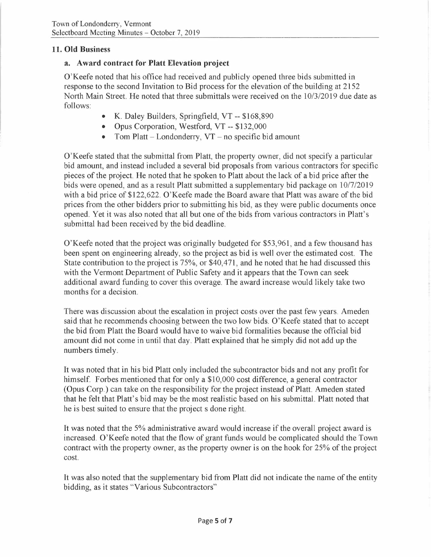# **11. Old Business**

# **a. Award contract for Platt Elevation project**

O'Keefe noted that his office had received and publicly opened three bids submitted in response to the second Invitation to Bid process for the elevation of the building at 2152 North Main Street. He noted that three submittals were received on the 10/3/2019 due date as follows:

- K. Daley Builders, Springfield, VT -- \$168,890
- Opus Corporation, Westford, VT -- \$132,000
- Tom Platt  $-$  Londonderry, VT  $-$  no specific bid amount

O'Keefe stated that the submittal from Platt, the property owner, did not specify a particular bid amount, and instead included a several bid proposals from various contractors for specific pieces of the project. He noted that he spoken to Platt about the lack of a bid price after the bids were opened, and as a result Platt submitted a supplementary bid package on 10/7/2019 with a bid price of \$122,622. O'Keefe made the Board aware that Platt was aware of the bid prices from the other bidders prior to submitting his bid, as they were public documents once opened. Yet it was also noted that all but one of the bids from various contractors in Platt's submittal had been received by the bid deadline.

O'Keefe noted that the project was originally budgeted for \$53,961, and a few thousand has been spent on engineering already, so the project as bid is well over the estimated cost. The State contribution to the project is 75%, or \$40,471, and he noted that he had discussed this with the Vermont Department of Public Safety and it appears that the Town can seek additional award funding to cover this overage. The award increase would likely take two months for a decision.

There was discussion about the escalation in project costs over the past few years. Ameden said that he recommends choosing between the two low bids. O'Keefe stated that to accept the bid from Platt the Board would have to waive bid formalities because the official bid amount did not come in until that day. Platt explained that he simply did not add up the numbers timely.

It was noted that in his bid Platt only included the subcontractor bids and not any profit for himself. Forbes mentioned that for only a \$10,000 cost difference, a general contractor (Opus Corp.) can take on the responsibility for the project instead of Platt. Ameden stated that he felt that Platt's bid may be the most realistic based on his submittal. Platt noted that he is best suited to ensure that the project s done right.

It was noted that the 5% administrative award would increase if the overall project award is increased. O'Keefe noted that the flow of grant funds would be complicated should the Town contract with the property owner, as the property owner is on the hook for 25% of the project cost.

It was also noted that the supplementary bid from Platt did not indicate the name of the entity bidding, as it states "Various Subcontractors"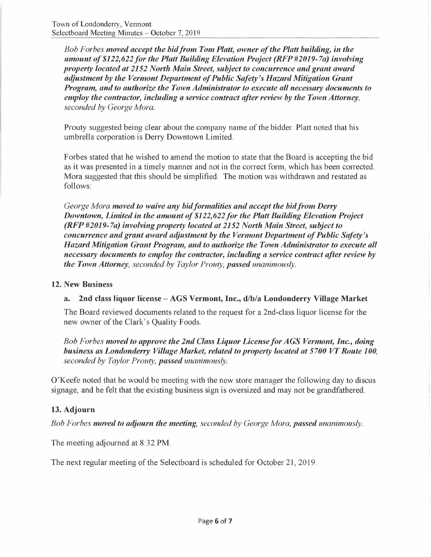*Bob Forbes moved accept the bid from Tom Platt, owner of the Platt building, in the amount of \$122,622for the Platt Building Elevation Project (RFP#2019-7a) involving property located at 2152 North Main Street, subject to concurrence and grant award adjustment by the Vermont Department of Public Safety's Hazard Mitigation Grant Program, and to authorize the Town Administrator to execute all necessary documents to employ the contractor, including a service contract after review by the Town Attorney, seconded by George Mora.* 

Prouty suggested being clear about the company name of the bidder. Platt noted that his umbrella corporation is Derry Downtown Limited.

Forbes stated that he wished to amend the motion to state that the Board is accepting the bid as it was presented in a timely manner and not in the correct form, which has been corrected. Mora suggested that this should be simplified. The motion was withdrawn and restated as follows:

*George Mora moved to waive any bidformalities and accept the bidfrom Derry Downtown, Limited in the amount of \$122,622 for the Platt Building Elevation Project (RFP #2019-7a) involving property located at 2152 North Main Street, subject to concurrence and grant award adjustment by the Vermont Department of Public Safety's Hazard Mitigation Grant Program, and to authorize the Town Administrator to execute all necessary documents to employ the contractor, including a service contract after review by the Town Attorney, seconded by Taylor Prouty, passed unanimously.* 

#### **12. New Business**

# **a. 2nd class liquor license - AGS Vermont, Inc., d/b/a Londonderry Village Market**

The Board reviewed documents related to the request for a 2nd-class liquor license for the new owner of the Clark's Quality Foods.

*Bob Forbes moved to approve the 2nd Class Liquor License for AGS Vermont, Inc., doing business as Londonderry Village Market, related to property located at 5700 VT Route 100, seconded by Taylor Prouty, passed unanimously.* 

O'Keefe noted that he would be meeting with the new store manager the following day to discus signage, and he felt that the existing business sign is oversized and may not be grandfathered.

# **13. Adjourn**

*Bob Forbes moved to adjourn the meeting, seconded by George Mora, passed unanimously.* 

The meeting adjourned at 8:32 **PM.** 

The next regular meeting of the Selectboard is scheduled for October 21, 2019.